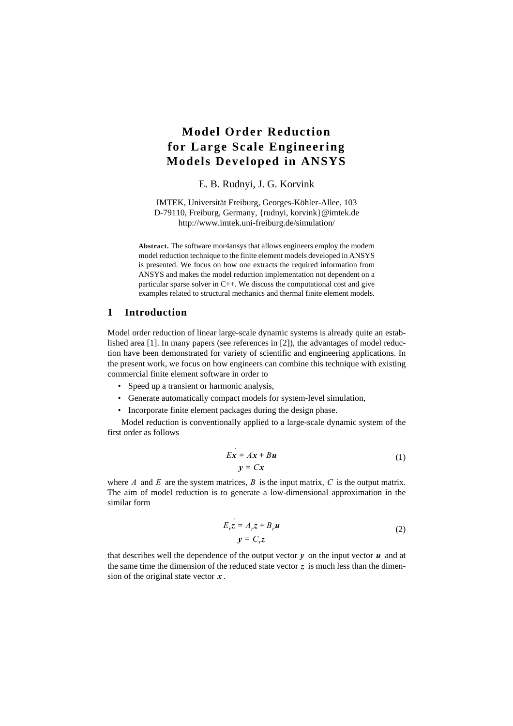# **Model Order Reduction for Large Scale Engineering Models Developed in ANSYS**

# E. B. Rudnyi, J. G. Korvink

IMTEK, Universität Freiburg, Georges-Köhler-Allee, 103 D-79110, Freiburg, Germany, {rudnyi, korvink}@imtek.de http://www.imtek.uni-freiburg.de/simulation/

**Abstract.** The software mor4ansys that allows engineers employ the modern model reduction technique to the finite element models developed in ANSYS is presented. We focus on how one extracts the required information from ANSYS and makes the model reduction implementation not dependent on a particular sparse solver in C++. We discuss the computational cost and give examples related to structural mechanics and thermal finite element models.

## **1 Introduction**

Model order reduction of linear large-scale dynamic systems is already quite an established area [1]. In many papers (see references in [2]), the advantages of model reduction have been demonstrated for variety of scientific and engineering applications. In the present work, we focus on how engineers can combine this technique with existing commercial finite element software in order to

- Speed up a transient or harmonic analysis,
- Generate automatically compact models for system-level simulation,
- Incorporate finite element packages during the design phase.

Model reduction is conventionally applied to a large-scale dynamic system of the first order as follows

$$
Ex = Ax + Bu
$$
  
y = Cx (1)

where  $A$  and  $E$  are the system matrices,  $B$  is the input matrix,  $C$  is the output matrix. The aim of model reduction is to generate a low-dimensional approximation in the similar form

$$
E_r \vec{z} = A_r \vec{z} + B_r \vec{u}
$$
  

$$
y = C_r \vec{z}
$$
 (2)

that describes well the dependence of the output vector  $y$  on the input vector  $u$  and at the same time the dimension of the reduced state vector  $\zeta$  is much less than the dimension of the original state vector  $x$ .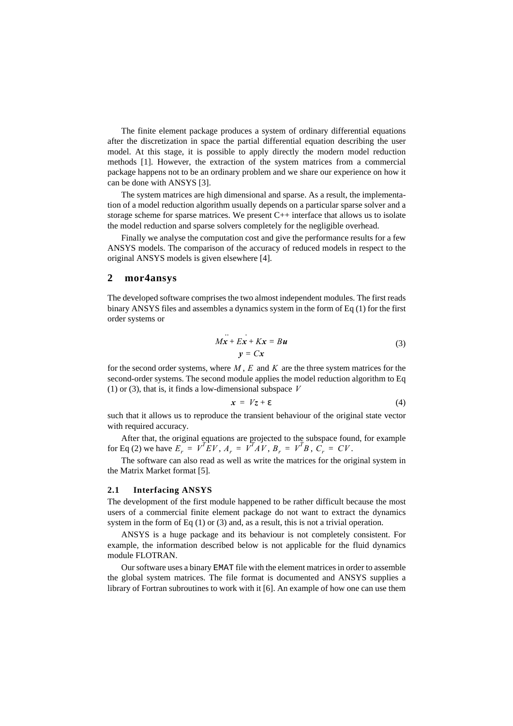The finite element package produces a system of ordinary differential equations after the discretization in space the partial differential equation describing the user model. At this stage, it is possible to apply directly the modern model reduction methods [1]. However, the extraction of the system matrices from a commercial package happens not to be an ordinary problem and we share our experience on how it can be done with ANSYS [3].

The system matrices are high dimensional and sparse. As a result, the implementation of a model reduction algorithm usually depends on a particular sparse solver and a storage scheme for sparse matrices. We present  $C++$  interface that allows us to isolate the model reduction and sparse solvers completely for the negligible overhead.

Finally we analyse the computation cost and give the performance results for a few ANSYS models. The comparison of the accuracy of reduced models in respect to the original ANSYS models is given elsewhere [4].

## **2mor4ansys**

The developed software comprises the two almost independent modules. The first reads binary ANSYS files and assembles a dynamics system in the form of Eq (1) for the first order systems or

$$
M\ddot{x} + E\dot{x} + Kx = Bu
$$
  
\n
$$
y = Cx
$$
\n(3)

for the second order systems, where  $M, E$  and  $K$  are the three system matrices for the second-order systems. The second module applies the model reduction algorithm to Eq (1) or (3), that is, it finds a low-dimensional subspace *V*

$$
x = Vz + \varepsilon \tag{4}
$$

such that it allows us to reproduce the transient behaviour of the original state vector with required accuracy.

After that, the original equations are projected to the subspace found, for example for Eq (2) we have  $E_r = V^T E V$ ,  $A_r = V^T A V$ ,  $B_r = V^T B$ ,  $C_r = CV$ .

The software can also read as well as write the matrices for the original system in the Matrix Market format [5].

#### **2.1 Interfacing ANSYS**

The development of the first module happened to be rather difficult because the most users of a commercial finite element package do not want to extract the dynamics system in the form of Eq (1) or (3) and, as a result, this is not a trivial operation.

ANSYS is a huge package and its behaviour is not completely consistent. For example, the information described below is not applicable for the fluid dynamics module FLOTRAN.

Our software uses a binary EMAT file with the element matrices in order to assemble the global system matrices. The file format is documented and ANSYS supplies a library of Fortran subroutines to work with it [6]. An example of how one can use them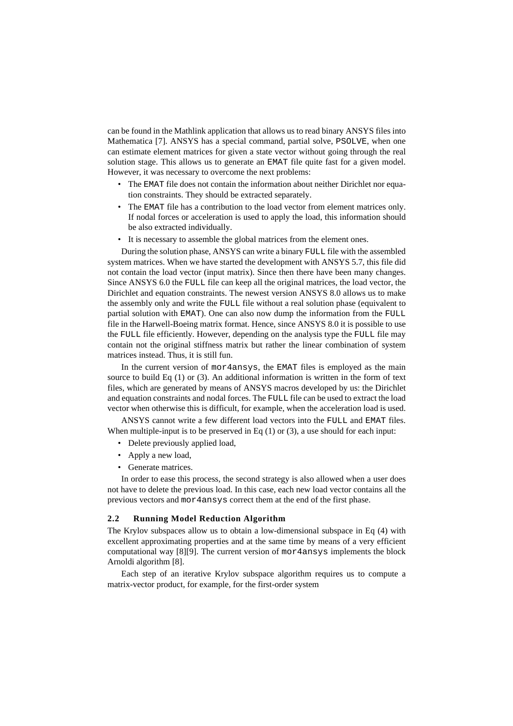can be found in the Mathlink application that allows us to read binary ANSYS files into Mathematica [7]. ANSYS has a special command, partial solve, PSOLVE, when one can estimate element matrices for given a state vector without going through the real solution stage. This allows us to generate an EMAT file quite fast for a given model. However, it was necessary to overcome the next problems:

- The EMAT file does not contain the information about neither Dirichlet nor equation constraints. They should be extracted separately.
- The EMAT file has a contribution to the load vector from element matrices only. If nodal forces or acceleration is used to apply the load, this information should be also extracted individually.
- It is necessary to assemble the global matrices from the element ones.

During the solution phase, ANSYS can write a binary FULL file with the assembled system matrices. When we have started the development with ANSYS 5.7, this file did not contain the load vector (input matrix). Since then there have been many changes. Since ANSYS 6.0 the FULL file can keep all the original matrices, the load vector, the Dirichlet and equation constraints. The newest version ANSYS 8.0 allows us to make the assembly only and write the FULL file without a real solution phase (equivalent to partial solution with EMAT). One can also now dump the information from the FULL file in the Harwell-Boeing matrix format. Hence, since ANSYS 8.0 it is possible to use the FULL file efficiently. However, depending on the analysis type the FULL file may contain not the original stiffness matrix but rather the linear combination of system matrices instead. Thus, it is still fun.

In the current version of mor4ansys, the EMAT files is employed as the main source to build Eq  $(1)$  or  $(3)$ . An additional information is written in the form of text files, which are generated by means of ANSYS macros developed by us: the Dirichlet and equation constraints and nodal forces. The FULL file can be used to extract the load vector when otherwise this is difficult, for example, when the acceleration load is used.

ANSYS cannot write a few different load vectors into the FULL and EMAT files. When multiple-input is to be preserved in Eq  $(1)$  or  $(3)$ , a use should for each input:

- Delete previously applied load,
- Apply a new load,
- Generate matrices.

In order to ease this process, the second strategy is also allowed when a user does not have to delete the previous load. In this case, each new load vector contains all the previous vectors and mor4ansys correct them at the end of the first phase.

#### **2.2 Running Model Reduction Algorithm**

The Krylov subspaces allow us to obtain a low-dimensional subspace in Eq (4) with excellent approximating properties and at the same time by means of a very efficient computational way [8][9]. The current version of mor4ansys implements the block Arnoldi algorithm [8].

Each step of an iterative Krylov subspace algorithm requires us to compute a matrix-vector product, for example, for the first-order system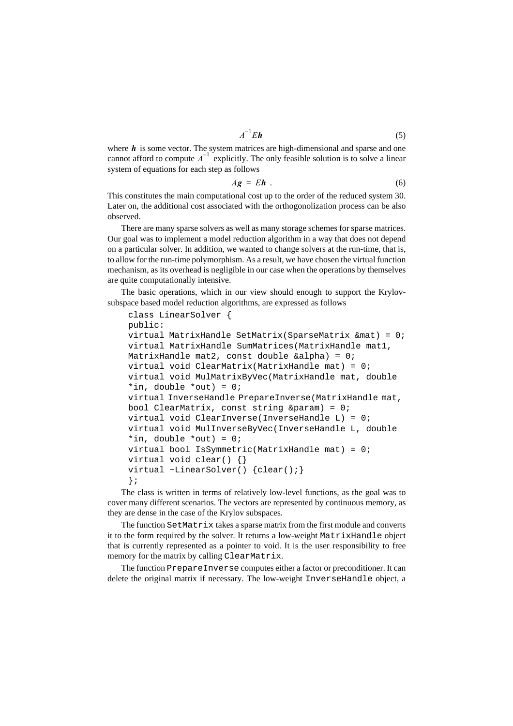$$
A^{-1}E\mathbf{h} \tag{5}
$$

where  $h$  is some vector. The system matrices are high-dimensional and sparse and one cannot afford to compute  $A^{-1}$  explicitly. The only feasible solution is to solve a linear system of equations for each step as follows

$$
Ag = Eh . \t\t(6)
$$

This constitutes the main computational cost up to the order of the reduced system 30. Later on, the additional cost associated with the orthogonolization process can be also observed.

There are many sparse solvers as well as many storage schemes for sparse matrices. Our goal was to implement a model reduction algorithm in a way that does not depend on a particular solver. In addition, we wanted to change solvers at the run-time, that is, to allow for the run-time polymorphism. As a result, we have chosen the virtual function mechanism, as its overhead is negligible in our case when the operations by themselves are quite computationally intensive.

The basic operations, which in our view should enough to support the Krylovsubspace based model reduction algorithms, are expressed as follows

```
class LinearSolver {
public:
virtual MatrixHandle SetMatrix(SparseMatrix &mat) = 0;
virtual MatrixHandle SumMatrices(MatrixHandle mat1, 
MatrixHandle mat2, const double &alpha) = 0;
virtual void ClearMatrix(MatrixHandle mat) = 0;
virtual void MulMatrixByVec(MatrixHandle mat, double 
*in, double *out) = 0;
virtual InverseHandle PrepareInverse(MatrixHandle mat, 
bool ClearMatrix, const string \&\text{param} = 0;
virtual void ClearInverse(InverseHandle L) = 0;
virtual void MulInverseByVec(InverseHandle L, double 
*in, double *out) = 0;
virtual bool IsSymmetric(MatrixHandle mat) = 0;
virtual void clear() {}
virtual ~LinearSolver() {clear();}
};
```
The class is written in terms of relatively low-level functions, as the goal was to cover many different scenarios. The vectors are represented by continuous memory, as they are dense in the case of the Krylov subspaces.

The function SetMatrix takes a sparse matrix from the first module and converts it to the form required by the solver. It returns a low-weight MatrixHandle object that is currently represented as a pointer to void. It is the user responsibility to free memory for the matrix by calling ClearMatrix.

The function PrepareInverse computes either a factor or preconditioner. It can delete the original matrix if necessary. The low-weight InverseHandle object, a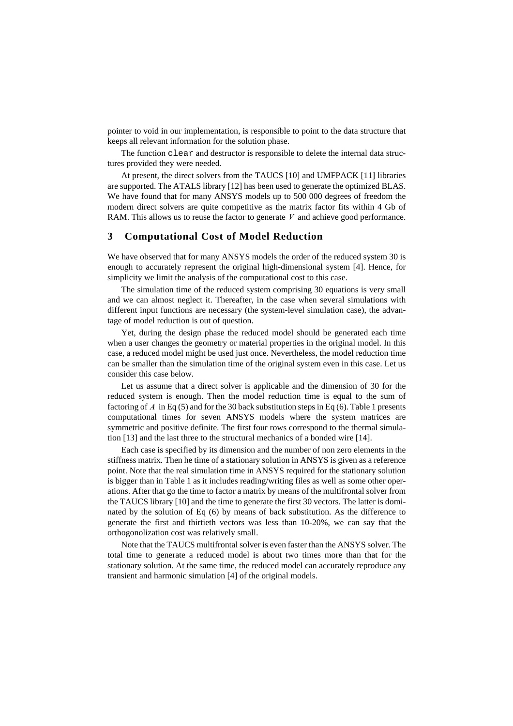pointer to void in our implementation, is responsible to point to the data structure that keeps all relevant information for the solution phase.

The function clear and destructor is responsible to delete the internal data structures provided they were needed.

At present, the direct solvers from the TAUCS [10] and UMFPACK [11] libraries are supported. The ATALS library [12] has been used to generate the optimized BLAS. We have found that for many ANSYS models up to 500 000 degrees of freedom the modern direct solvers are quite competitive as the matrix factor fits within 4 Gb of RAM. This allows us to reuse the factor to generate  $V$  and achieve good performance.

## **3 Computational Cost of Model Reduction**

We have observed that for many ANSYS models the order of the reduced system 30 is enough to accurately represent the original high-dimensional system [4]. Hence, for simplicity we limit the analysis of the computational cost to this case.

The simulation time of the reduced system comprising 30 equations is very small and we can almost neglect it. Thereafter, in the case when several simulations with different input functions are necessary (the system-level simulation case), the advantage of model reduction is out of question.

Yet, during the design phase the reduced model should be generated each time when a user changes the geometry or material properties in the original model. In this case, a reduced model might be used just once. Nevertheless, the model reduction time can be smaller than the simulation time of the original system even in this case. Let us consider this case below.

Let us assume that a direct solver is applicable and the dimension of 30 for the reduced system is enough. Then the model reduction time is equal to the sum of factoring of  $A$  in Eq (5) and for the 30 back substitution steps in Eq (6). Table 1 presents computational times for seven ANSYS models where the system matrices are symmetric and positive definite. The first four rows correspond to the thermal simulation [13] and the last three to the structural mechanics of a bonded wire [14].

Each case is specified by its dimension and the number of non zero elements in the stiffness matrix. Then he time of a stationary solution in ANSYS is given as a reference point. Note that the real simulation time in ANSYS required for the stationary solution is bigger than in Table 1 as it includes reading/writing files as well as some other operations. After that go the time to factor a matrix by means of the multifrontal solver from the TAUCS library [10] and the time to generate the first 30 vectors. The latter is dominated by the solution of Eq (6) by means of back substitution. As the difference to generate the first and thirtieth vectors was less than 10-20%, we can say that the orthogonolization cost was relatively small.

Note that the TAUCS multifrontal solver is even faster than the ANSYS solver. The total time to generate a reduced model is about two times more than that for the stationary solution. At the same time, the reduced model can accurately reproduce any transient and harmonic simulation [4] of the original models.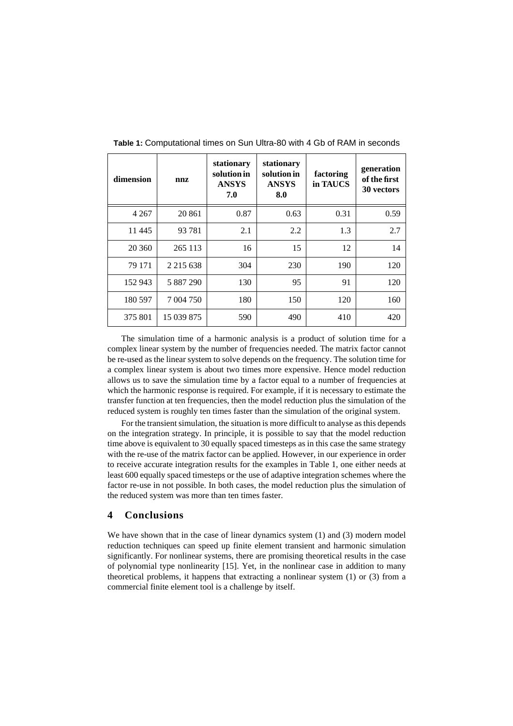| dimension | nnz           | stationary<br>solution in<br><b>ANSYS</b><br>7.0 | stationary<br>solution in<br><b>ANSYS</b><br>8.0 | factoring<br>in TAUCS | generation<br>of the first<br>30 vectors |
|-----------|---------------|--------------------------------------------------|--------------------------------------------------|-----------------------|------------------------------------------|
| 4 2 6 7   | 20 861        | 0.87                                             | 0.63                                             | 0.31                  | 0.59                                     |
| 11 4 45   | 93 781        | 2.1                                              | 2.2                                              | 1.3                   | 2.7                                      |
| 20 360    | 265 113       | 16                                               | 15                                               | 12                    | 14                                       |
| 79 171    | 2 2 1 5 6 3 8 | 304                                              | 230                                              | 190                   | 120                                      |
| 152 943   | 5 887 290     | 130                                              | 95                                               | 91                    | 120                                      |
| 180 597   | 7 004 750     | 180                                              | 150                                              | 120                   | 160                                      |
| 375 801   | 15 039 875    | 590                                              | 490                                              | 410                   | 420                                      |

**Table 1:** Computational times on Sun Ultra-80 with 4 Gb of RAM in seconds

The simulation time of a harmonic analysis is a product of solution time for a complex linear system by the number of frequencies needed. The matrix factor cannot be re-used as the linear system to solve depends on the frequency. The solution time for a complex linear system is about two times more expensive. Hence model reduction allows us to save the simulation time by a factor equal to a number of frequencies at which the harmonic response is required. For example, if it is necessary to estimate the transfer function at ten frequencies, then the model reduction plus the simulation of the reduced system is roughly ten times faster than the simulation of the original system.

For the transient simulation, the situation is more difficult to analyse as this depends on the integration strategy. In principle, it is possible to say that the model reduction time above is equivalent to 30 equally spaced timesteps as in this case the same strategy with the re-use of the matrix factor can be applied. However, in our experience in order to receive accurate integration results for the examples in Table 1, one either needs at least 600 equally spaced timesteps or the use of adaptive integration schemes where the factor re-use in not possible. In both cases, the model reduction plus the simulation of the reduced system was more than ten times faster.

## **4 Conclusions**

We have shown that in the case of linear dynamics system (1) and (3) modern model reduction techniques can speed up finite element transient and harmonic simulation significantly. For nonlinear systems, there are promising theoretical results in the case of polynomial type nonlinearity [15]. Yet, in the nonlinear case in addition to many theoretical problems, it happens that extracting a nonlinear system (1) or (3) from a commercial finite element tool is a challenge by itself.